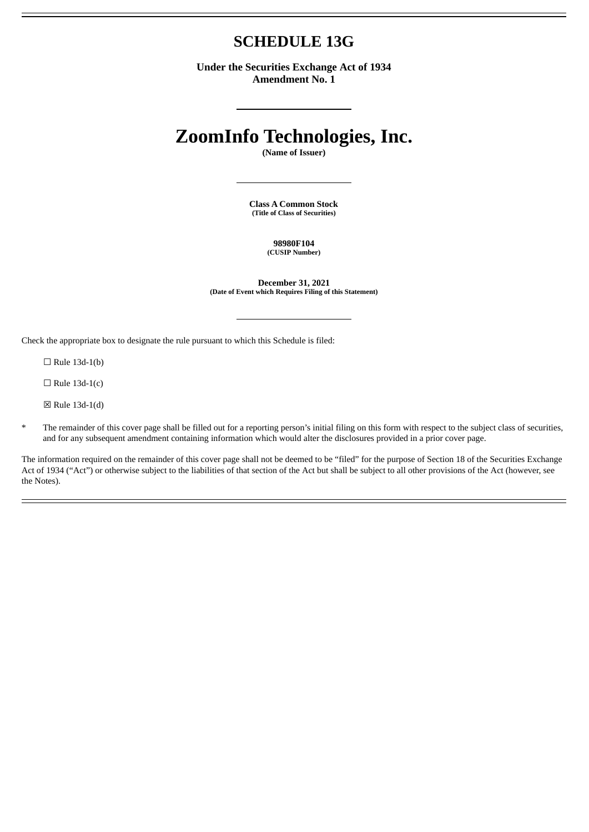# **SCHEDULE 13G**

**Under the Securities Exchange Act of 1934 Amendment No. 1**

# **ZoomInfo Technologies, Inc.**

**(Name of Issuer)**

**Class A Common Stock (Title of Class of Securities)**

> **98980F104 (CUSIP Number)**

**December 31, 2021 (Date of Event which Requires Filing of this Statement)**

Check the appropriate box to designate the rule pursuant to which this Schedule is filed:

 $\Box$  Rule 13d-1(b)

 $\Box$  Rule 13d-1(c)

☒ Rule 13d-1(d)

\* The remainder of this cover page shall be filled out for a reporting person's initial filing on this form with respect to the subject class of securities, and for any subsequent amendment containing information which would alter the disclosures provided in a prior cover page.

The information required on the remainder of this cover page shall not be deemed to be "filed" for the purpose of Section 18 of the Securities Exchange Act of 1934 ("Act") or otherwise subject to the liabilities of that section of the Act but shall be subject to all other provisions of the Act (however, see the Notes).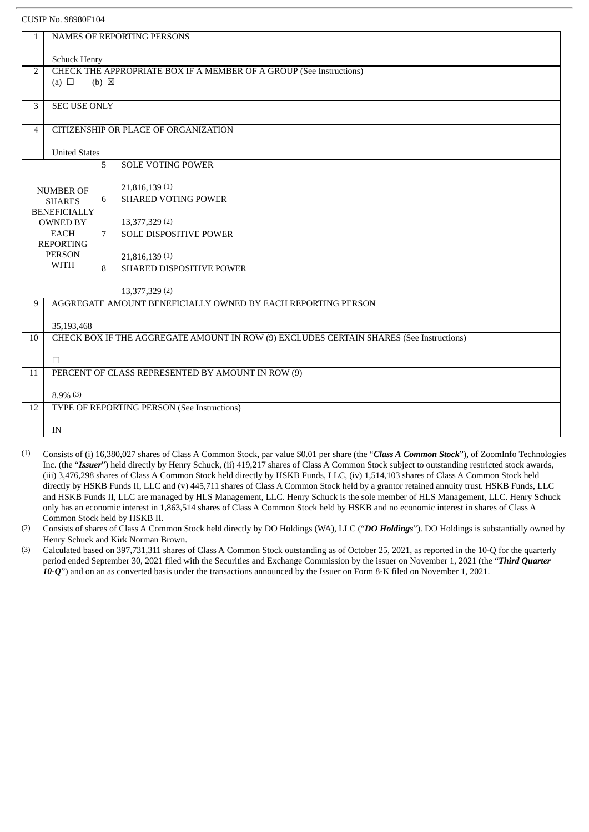#### CUSIP No. 98980F104

| $\mathbf{1}$     | <b>NAMES OF REPORTING PERSONS</b>                                   |                |                                                                                         |  |  |  |
|------------------|---------------------------------------------------------------------|----------------|-----------------------------------------------------------------------------------------|--|--|--|
|                  |                                                                     |                |                                                                                         |  |  |  |
|                  | <b>Schuck Henry</b>                                                 |                |                                                                                         |  |  |  |
| 2                | CHECK THE APPROPRIATE BOX IF A MEMBER OF A GROUP (See Instructions) |                |                                                                                         |  |  |  |
|                  | (a) $\Box$<br>$(b) \boxtimes$                                       |                |                                                                                         |  |  |  |
|                  |                                                                     |                |                                                                                         |  |  |  |
| 3                | <b>SEC USE ONLY</b>                                                 |                |                                                                                         |  |  |  |
|                  |                                                                     |                |                                                                                         |  |  |  |
| $\overline{4}$   | CITIZENSHIP OR PLACE OF ORGANIZATION                                |                |                                                                                         |  |  |  |
|                  | <b>United States</b>                                                |                |                                                                                         |  |  |  |
|                  |                                                                     | 5              | <b>SOLE VOTING POWER</b>                                                                |  |  |  |
|                  |                                                                     |                |                                                                                         |  |  |  |
|                  | <b>NUMBER OF</b>                                                    |                | 21,816,139(1)                                                                           |  |  |  |
|                  | <b>SHARES</b>                                                       | 6              | <b>SHARED VOTING POWER</b>                                                              |  |  |  |
|                  | <b>BENEFICIALLY</b>                                                 |                |                                                                                         |  |  |  |
|                  | <b>OWNED BY</b><br><b>EACH</b>                                      | $\overline{7}$ | 13,377,329 (2)<br><b>SOLE DISPOSITIVE POWER</b>                                         |  |  |  |
| <b>REPORTING</b> |                                                                     |                |                                                                                         |  |  |  |
|                  | <b>PERSON</b>                                                       |                | 21,816,139(1)                                                                           |  |  |  |
|                  | <b>WITH</b>                                                         | 8              | SHARED DISPOSITIVE POWER                                                                |  |  |  |
|                  |                                                                     |                |                                                                                         |  |  |  |
|                  |                                                                     |                | 13,377,329 (2)                                                                          |  |  |  |
| 9                |                                                                     |                | AGGREGATE AMOUNT BENEFICIALLY OWNED BY EACH REPORTING PERSON                            |  |  |  |
|                  | 35,193,468                                                          |                |                                                                                         |  |  |  |
| 10               |                                                                     |                | CHECK BOX IF THE AGGREGATE AMOUNT IN ROW (9) EXCLUDES CERTAIN SHARES (See Instructions) |  |  |  |
|                  |                                                                     |                |                                                                                         |  |  |  |
|                  | $\Box$                                                              |                |                                                                                         |  |  |  |
| 11               | PERCENT OF CLASS REPRESENTED BY AMOUNT IN ROW (9)                   |                |                                                                                         |  |  |  |
|                  |                                                                     |                |                                                                                         |  |  |  |
|                  | $8.9\%$ (3)                                                         |                |                                                                                         |  |  |  |
| 12               | TYPE OF REPORTING PERSON (See Instructions)                         |                |                                                                                         |  |  |  |
|                  | IN                                                                  |                |                                                                                         |  |  |  |
|                  |                                                                     |                |                                                                                         |  |  |  |

(1) Consists of (i) 16,380,027 shares of Class A Common Stock, par value \$0.01 per share (the "*Class A Common Stock*"), of ZoomInfo Technologies Inc. (the "*Issuer*") held directly by Henry Schuck, (ii) 419,217 shares of Class A Common Stock subject to outstanding restricted stock awards, (iii) 3,476,298 shares of Class A Common Stock held directly by HSKB Funds, LLC, (iv) 1,514,103 shares of Class A Common Stock held directly by HSKB Funds II, LLC and (v) 445,711 shares of Class A Common Stock held by a grantor retained annuity trust. HSKB Funds, LLC and HSKB Funds II, LLC are managed by HLS Management, LLC. Henry Schuck is the sole member of HLS Management, LLC. Henry Schuck only has an economic interest in 1,863,514 shares of Class A Common Stock held by HSKB and no economic interest in shares of Class A Common Stock held by HSKB II.

(2) Consists of shares of Class A Common Stock held directly by DO Holdings (WA), LLC ("*DO Holdings*"). DO Holdings is substantially owned by Henry Schuck and Kirk Norman Brown.

(3) Calculated based on 397,731,311 shares of Class A Common Stock outstanding as of October 25, 2021, as reported in the 10-Q for the quarterly period ended September 30, 2021 filed with the Securities and Exchange Commission by the issuer on November 1, 2021 (the "*Third Quarter 10-Q*") and on an as converted basis under the transactions announced by the Issuer on Form 8-K filed on November 1, 2021.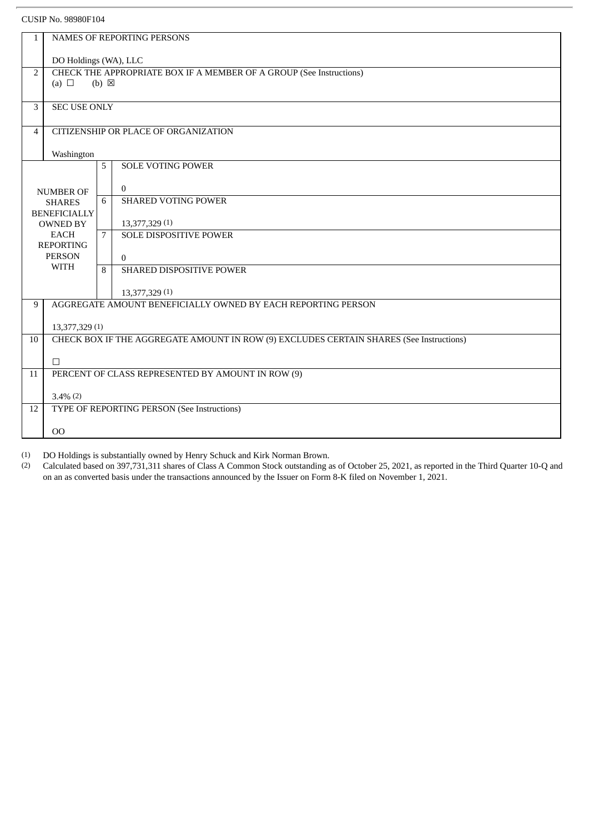#### CUSIP No. 98980F104

| $\mathbf{1}$   | <b>NAMES OF REPORTING PERSONS</b>                                                            |                 |                                                              |  |  |  |
|----------------|----------------------------------------------------------------------------------------------|-----------------|--------------------------------------------------------------|--|--|--|
|                |                                                                                              |                 |                                                              |  |  |  |
| $\overline{2}$ | DO Holdings (WA), LLC<br>CHECK THE APPROPRIATE BOX IF A MEMBER OF A GROUP (See Instructions) |                 |                                                              |  |  |  |
|                | (a) $\Box$                                                                                   | $(b) \boxtimes$ |                                                              |  |  |  |
|                |                                                                                              |                 |                                                              |  |  |  |
| 3              | <b>SEC USE ONLY</b>                                                                          |                 |                                                              |  |  |  |
|                |                                                                                              |                 |                                                              |  |  |  |
|                | CITIZENSHIP OR PLACE OF ORGANIZATION<br>$\overline{4}$                                       |                 |                                                              |  |  |  |
|                | Washington                                                                                   |                 |                                                              |  |  |  |
|                |                                                                                              | 5               | <b>SOLE VOTING POWER</b>                                     |  |  |  |
|                |                                                                                              |                 |                                                              |  |  |  |
|                | <b>NUMBER OF</b>                                                                             |                 | $\mathbf{0}$<br><b>SHARED VOTING POWER</b>                   |  |  |  |
|                | <b>SHARES</b><br><b>BENEFICIALLY</b>                                                         | 6               |                                                              |  |  |  |
|                | <b>OWNED BY</b>                                                                              |                 | 13,377,329 (1)                                               |  |  |  |
|                | <b>EACH</b>                                                                                  | $7^{\circ}$     | <b>SOLE DISPOSITIVE POWER</b>                                |  |  |  |
|                | <b>REPORTING</b>                                                                             |                 |                                                              |  |  |  |
|                | <b>PERSON</b><br><b>WITH</b>                                                                 |                 | $\Omega$<br>SHARED DISPOSITIVE POWER                         |  |  |  |
|                |                                                                                              | 8               |                                                              |  |  |  |
|                |                                                                                              |                 | 13,377,329 (1)                                               |  |  |  |
| 9              |                                                                                              |                 | AGGREGATE AMOUNT BENEFICIALLY OWNED BY EACH REPORTING PERSON |  |  |  |
|                |                                                                                              |                 |                                                              |  |  |  |
| 10             | 13,377,329 (1)                                                                               |                 |                                                              |  |  |  |
|                | CHECK BOX IF THE AGGREGATE AMOUNT IN ROW (9) EXCLUDES CERTAIN SHARES (See Instructions)      |                 |                                                              |  |  |  |
|                | П                                                                                            |                 |                                                              |  |  |  |
| 11             | PERCENT OF CLASS REPRESENTED BY AMOUNT IN ROW (9)                                            |                 |                                                              |  |  |  |
|                |                                                                                              |                 |                                                              |  |  |  |
| 12             | $3.4\%$ (2)                                                                                  |                 |                                                              |  |  |  |
|                | TYPE OF REPORTING PERSON (See Instructions)                                                  |                 |                                                              |  |  |  |
|                | 00                                                                                           |                 |                                                              |  |  |  |
|                |                                                                                              |                 |                                                              |  |  |  |

(1) DO Holdings is substantially owned by Henry Schuck and Kirk Norman Brown.<br>(2) Calculated based on 397.731.311 shares of Class A Common Stock outstanding a

(2) Calculated based on 397,731,311 shares of Class A Common Stock outstanding as of October 25, 2021, as reported in the Third Quarter 10-Q and on an as converted basis under the transactions announced by the Issuer on Form 8-K filed on November 1, 2021.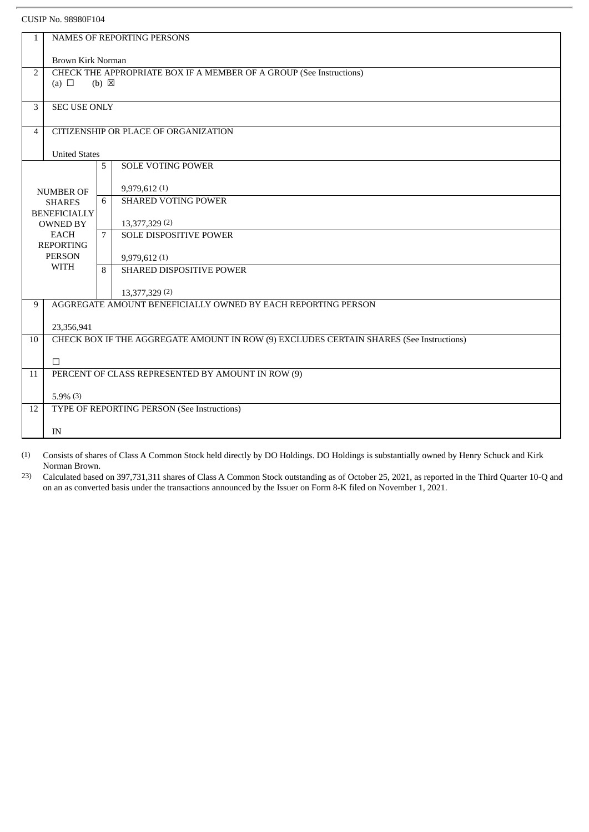#### CUSIP No. 98980F104

| $\mathbf{1}$     | <b>NAMES OF REPORTING PERSONS</b>                                                     |                                      |                                                                                         |  |  |  |  |
|------------------|---------------------------------------------------------------------------------------|--------------------------------------|-----------------------------------------------------------------------------------------|--|--|--|--|
|                  |                                                                                       |                                      |                                                                                         |  |  |  |  |
|                  | Brown Kirk Norman                                                                     |                                      |                                                                                         |  |  |  |  |
|                  | $\overline{2}$<br>CHECK THE APPROPRIATE BOX IF A MEMBER OF A GROUP (See Instructions) |                                      |                                                                                         |  |  |  |  |
|                  | (a) $\Box$                                                                            | $(b) \boxtimes$                      |                                                                                         |  |  |  |  |
|                  |                                                                                       |                                      |                                                                                         |  |  |  |  |
|                  | <b>SEC USE ONLY</b><br>3                                                              |                                      |                                                                                         |  |  |  |  |
| $\overline{4}$   |                                                                                       | CITIZENSHIP OR PLACE OF ORGANIZATION |                                                                                         |  |  |  |  |
|                  |                                                                                       |                                      |                                                                                         |  |  |  |  |
|                  | <b>United States</b>                                                                  |                                      |                                                                                         |  |  |  |  |
|                  |                                                                                       | 5                                    | <b>SOLE VOTING POWER</b>                                                                |  |  |  |  |
|                  |                                                                                       |                                      |                                                                                         |  |  |  |  |
| <b>NUMBER OF</b> |                                                                                       |                                      | 9,979,612 (1)                                                                           |  |  |  |  |
|                  | <b>SHARES</b>                                                                         | 6                                    | <b>SHARED VOTING POWER</b>                                                              |  |  |  |  |
|                  | <b>BENEFICIALLY</b>                                                                   |                                      |                                                                                         |  |  |  |  |
|                  | <b>OWNED BY</b>                                                                       |                                      | 13,377,329 (2)                                                                          |  |  |  |  |
|                  | <b>EACH</b><br><b>REPORTING</b>                                                       | $7^{\circ}$                          | SOLE DISPOSITIVE POWER                                                                  |  |  |  |  |
|                  | <b>PERSON</b>                                                                         |                                      |                                                                                         |  |  |  |  |
|                  | WITH                                                                                  |                                      | 9,979,612 (1)<br>SHARED DISPOSITIVE POWER                                               |  |  |  |  |
|                  |                                                                                       | 8                                    |                                                                                         |  |  |  |  |
|                  |                                                                                       |                                      | 13,377,329 (2)                                                                          |  |  |  |  |
| 9                |                                                                                       |                                      | AGGREGATE AMOUNT BENEFICIALLY OWNED BY EACH REPORTING PERSON                            |  |  |  |  |
|                  |                                                                                       |                                      |                                                                                         |  |  |  |  |
|                  | 23,356,941                                                                            |                                      |                                                                                         |  |  |  |  |
| 10               |                                                                                       |                                      | CHECK BOX IF THE AGGREGATE AMOUNT IN ROW (9) EXCLUDES CERTAIN SHARES (See Instructions) |  |  |  |  |
|                  |                                                                                       |                                      |                                                                                         |  |  |  |  |
|                  | П                                                                                     |                                      |                                                                                         |  |  |  |  |
| 11               |                                                                                       |                                      | PERCENT OF CLASS REPRESENTED BY AMOUNT IN ROW (9)                                       |  |  |  |  |
|                  | $5.9\%$ (3)                                                                           |                                      |                                                                                         |  |  |  |  |
| 12               | TYPE OF REPORTING PERSON (See Instructions)                                           |                                      |                                                                                         |  |  |  |  |
|                  |                                                                                       |                                      |                                                                                         |  |  |  |  |
|                  | IN                                                                                    |                                      |                                                                                         |  |  |  |  |
|                  |                                                                                       |                                      |                                                                                         |  |  |  |  |

(1) Consists of shares of Class A Common Stock held directly by DO Holdings. DO Holdings is substantially owned by Henry Schuck and Kirk Norman Brown.

23) Calculated based on 397,731,311 shares of Class A Common Stock outstanding as of October 25, 2021, as reported in the Third Quarter 10-Q and on an as converted basis under the transactions announced by the Issuer on Form 8-K filed on November 1, 2021.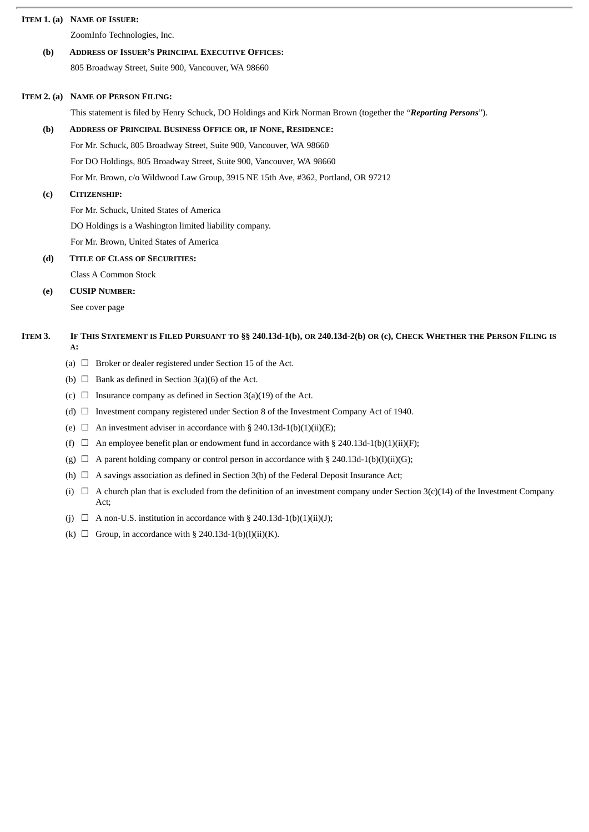#### **ITEM 1. (a) NAME OF ISSUER:**

ZoomInfo Technologies, Inc.

# **(b) ADDRESS OF ISSUER'S PRINCIPAL EXECUTIVE OFFICES:**

805 Broadway Street, Suite 900, Vancouver, WA 98660

#### **ITEM 2. (a) NAME OF PERSON FILING:**

This statement is filed by Henry Schuck, DO Holdings and Kirk Norman Brown (together the "*Reporting Persons*").

#### **(b) ADDRESS OF PRINCIPAL BUSINESS OFFICE OR, IF NONE, RESIDENCE:**

For Mr. Schuck, 805 Broadway Street, Suite 900, Vancouver, WA 98660

For DO Holdings, 805 Broadway Street, Suite 900, Vancouver, WA 98660

For Mr. Brown, c/o Wildwood Law Group, 3915 NE 15th Ave, #362, Portland, OR 97212

#### **(c) CITIZENSHIP:**

For Mr. Schuck, United States of America

DO Holdings is a Washington limited liability company.

For Mr. Brown, United States of America

#### **(d) TITLE OF CLASS OF SECURITIES:**

Class A Common Stock

#### **(e) CUSIP NUMBER:**

See cover page

#### ITEM 3. IF THIS STATEMENT IS FILED PURSUANT TO §§ 240.13d-1(b), OR 240.13d-2(b) OR (c), CHECK WHETHER THE PERSON FILING IS **A:**

- (a)  $\Box$  Broker or dealer registered under Section 15 of the Act.
- (b)  $\Box$  Bank as defined in Section 3(a)(6) of the Act.
- (c)  $\Box$  Insurance company as defined in Section 3(a)(19) of the Act.
- (d)  $\Box$  Investment company registered under Section 8 of the Investment Company Act of 1940.
- (e)  $\Box$  An investment adviser in accordance with § 240.13d-1(b)(1)(ii)(E);
- (f)  $\Box$  An employee benefit plan or endowment fund in accordance with § 240.13d-1(b)(1)(ii)(F);
- (g)  $\Box$  A parent holding company or control person in accordance with § 240.13d-1(b)(l)(ii)(G);
- (h)  $\Box$  A savings association as defined in Section 3(b) of the Federal Deposit Insurance Act;
- (i)  $\Box$  A church plan that is excluded from the definition of an investment company under Section 3(c)(14) of the Investment Company Act;
- (j)  $\Box$  A non-U.S. institution in accordance with § 240.13d-1(b)(1)(ii)(J);
- (k)  $\Box$  Group, in accordance with § 240.13d-1(b)(l)(ii)(K).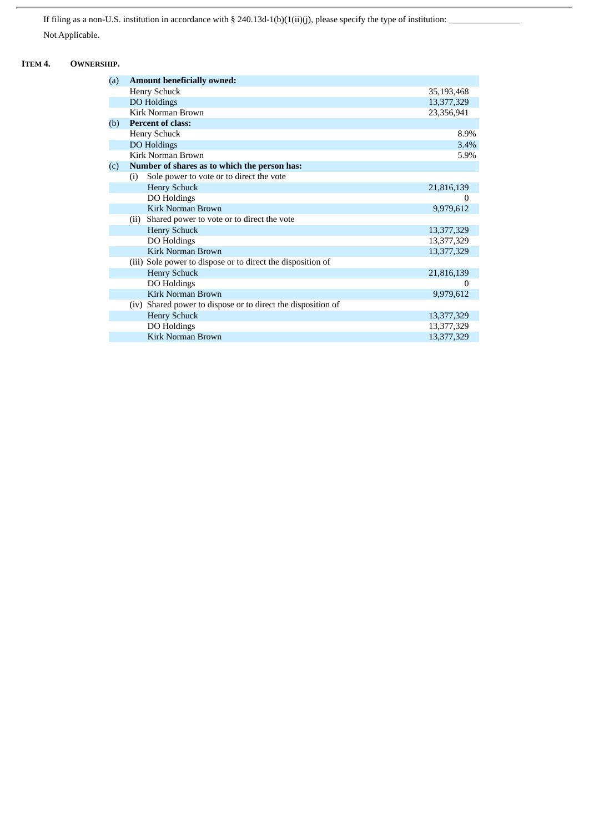If filing as a non-U.S. institution in accordance with § 240.13d-1(b)(1(ii)(j), please specify the type of institution:  $\overline{\phantom{a}}$ Not Applicable.

## **ITEM 4. OWNERSHIP.**

| (a) | <b>Amount beneficially owned:</b>                            |            |  |  |
|-----|--------------------------------------------------------------|------------|--|--|
|     | <b>Henry Schuck</b>                                          | 35,193,468 |  |  |
|     | DO Holdings                                                  | 13,377,329 |  |  |
|     | Kirk Norman Brown                                            | 23,356,941 |  |  |
| (b) | <b>Percent of class:</b>                                     |            |  |  |
|     | <b>Henry Schuck</b>                                          | 8.9%       |  |  |
|     | DO Holdings                                                  | 3.4%       |  |  |
|     | Kirk Norman Brown                                            | 5.9%       |  |  |
| (c) | Number of shares as to which the person has:                 |            |  |  |
|     | Sole power to vote or to direct the vote<br>(i)              |            |  |  |
|     | <b>Henry Schuck</b>                                          | 21,816,139 |  |  |
|     | DO Holdings                                                  | $\Omega$   |  |  |
|     | Kirk Norman Brown                                            | 9,979,612  |  |  |
|     | Shared power to vote or to direct the vote<br>(ii)           |            |  |  |
|     | <b>Henry Schuck</b>                                          | 13,377,329 |  |  |
|     | DO Holdings                                                  | 13,377,329 |  |  |
|     | <b>Kirk Norman Brown</b>                                     | 13,377,329 |  |  |
|     | (iii) Sole power to dispose or to direct the disposition of  |            |  |  |
|     | <b>Henry Schuck</b>                                          | 21,816,139 |  |  |
|     | DO Holdings                                                  | $\Omega$   |  |  |
|     | <b>Kirk Norman Brown</b>                                     | 9,979,612  |  |  |
|     | (iv) Shared power to dispose or to direct the disposition of |            |  |  |
|     | <b>Henry Schuck</b>                                          | 13,377,329 |  |  |
|     | DO Holdings                                                  | 13,377,329 |  |  |
|     | <b>Kirk Norman Brown</b>                                     | 13,377,329 |  |  |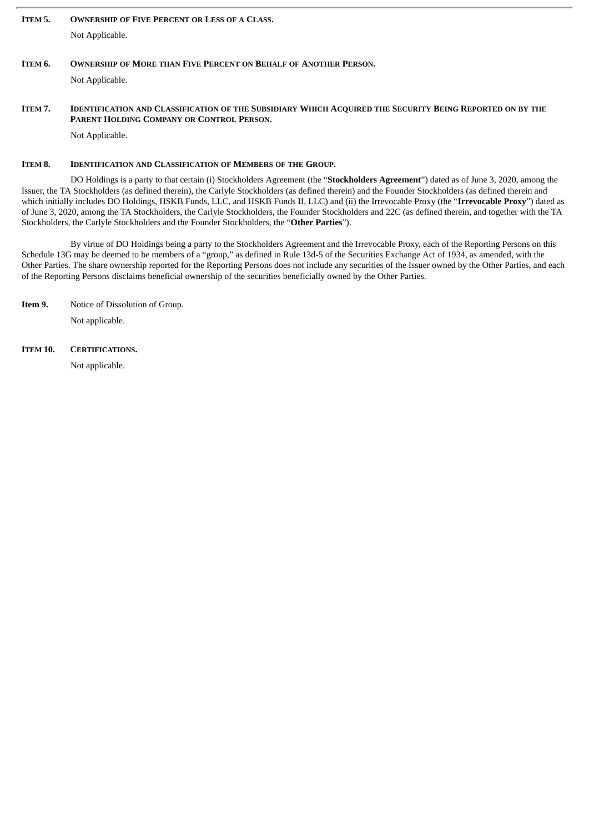# **ITEM 5. OWNERSHIP OF FIVE PERCENT OR LESS OF A CLASS.** Not Applicable.

#### ITEM 6. OWNERSHIP OF MORE THAN FIVE PERCENT ON BEHALF OF ANOTHER PERSON.

Not Applicable.

#### ITEM 7. IDENTIFICATION AND CLASSIFICATION OF THE SUBSIDIARY WHICH ACQUIRED THE SECURITY BEING REPORTED ON BY THE **PARENT HOLDING COMPANY OR CONTROL PERSON.**

Not Applicable.

#### **ITEM 8. IDENTIFICATION AND CLASSIFICATION OF MEMBERS OF THE GROUP.**

DO Holdings is a party to that certain (i) Stockholders Agreement (the "**Stockholders Agreement**") dated as of June 3, 2020, among the Issuer, the TA Stockholders (as defined therein), the Carlyle Stockholders (as defined therein) and the Founder Stockholders (as defined therein and which initially includes DO Holdings, HSKB Funds, LLC, and HSKB Funds II, LLC) and (ii) the Irrevocable Proxy (the "**Irrevocable Proxy**") dated as of June 3, 2020, among the TA Stockholders, the Carlyle Stockholders, the Founder Stockholders and 22C (as defined therein, and together with the TA Stockholders, the Carlyle Stockholders and the Founder Stockholders, the "**Other Parties**").

By virtue of DO Holdings being a party to the Stockholders Agreement and the Irrevocable Proxy, each of the Reporting Persons on this Schedule 13G may be deemed to be members of a "group," as defined in Rule 13d-5 of the Securities Exchange Act of 1934, as amended, with the Other Parties. The share ownership reported for the Reporting Persons does not include any securities of the Issuer owned by the Other Parties, and each of the Reporting Persons disclaims beneficial ownership of the securities beneficially owned by the Other Parties.

**Item 9.** Notice of Dissolution of Group.

Not applicable.

**ITEM 10. CERTIFICATIONS.**

Not applicable.